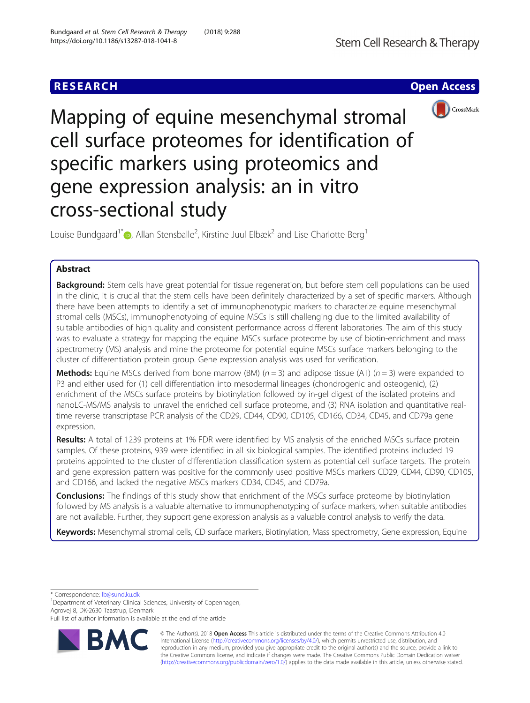# **RESEARCH CHE Open Access**



Mapping of equine mesenchymal stromal cell surface proteomes for identification of specific markers using proteomics and gene expression analysis: an in vitro cross-sectional study

Louise Bundgaard<sup>1\*</sup> $\bullet$ [,](http://orcid.org/0000-0002-0396-883X) Allan Stensballe<sup>2</sup>, Kirstine Juul Elbæk<sup>2</sup> and Lise Charlotte Berg<sup>1</sup>

# Abstract

Background: Stem cells have great potential for tissue regeneration, but before stem cell populations can be used in the clinic, it is crucial that the stem cells have been definitely characterized by a set of specific markers. Although there have been attempts to identify a set of immunophenotypic markers to characterize equine mesenchymal stromal cells (MSCs), immunophenotyping of equine MSCs is still challenging due to the limited availability of suitable antibodies of high quality and consistent performance across different laboratories. The aim of this study was to evaluate a strategy for mapping the equine MSCs surface proteome by use of biotin-enrichment and mass spectrometry (MS) analysis and mine the proteome for potential equine MSCs surface markers belonging to the cluster of differentiation protein group. Gene expression analysis was used for verification.

**Methods:** Equine MSCs derived from bone marrow (BM) ( $n = 3$ ) and adipose tissue (AT) ( $n = 3$ ) were expanded to P3 and either used for (1) cell differentiation into mesodermal lineages (chondrogenic and osteogenic), (2) enrichment of the MSCs surface proteins by biotinylation followed by in-gel digest of the isolated proteins and nanoLC-MS/MS analysis to unravel the enriched cell surface proteome, and (3) RNA isolation and quantitative realtime reverse transcriptase PCR analysis of the CD29, CD44, CD90, CD105, CD166, CD34, CD45, and CD79a gene expression.

Results: A total of 1239 proteins at 1% FDR were identified by MS analysis of the enriched MSCs surface protein samples. Of these proteins, 939 were identified in all six biological samples. The identified proteins included 19 proteins appointed to the cluster of differentiation classification system as potential cell surface targets. The protein and gene expression pattern was positive for the commonly used positive MSCs markers CD29, CD44, CD90, CD105, and CD166, and lacked the negative MSCs markers CD34, CD45, and CD79a.

**Conclusions:** The findings of this study show that enrichment of the MSCs surface proteome by biotinylation followed by MS analysis is a valuable alternative to immunophenotyping of surface markers, when suitable antibodies are not available. Further, they support gene expression analysis as a valuable control analysis to verify the data.

Keywords: Mesenchymal stromal cells, CD surface markers, Biotinylation, Mass spectrometry, Gene expression, Equine

\* Correspondence: [lb@sund.ku.dk](mailto:lb@sund.ku.dk) <sup>1</sup>

<sup>1</sup>Department of Veterinary Clinical Sciences, University of Copenhagen, Agrovej 8, DK-2630 Taastrup, Denmark

Full list of author information is available at the end of the article



© The Author(s). 2018 Open Access This article is distributed under the terms of the Creative Commons Attribution 4.0 International License [\(http://creativecommons.org/licenses/by/4.0/](http://creativecommons.org/licenses/by/4.0/)), which permits unrestricted use, distribution, and reproduction in any medium, provided you give appropriate credit to the original author(s) and the source, provide a link to the Creative Commons license, and indicate if changes were made. The Creative Commons Public Domain Dedication waiver [\(http://creativecommons.org/publicdomain/zero/1.0/](http://creativecommons.org/publicdomain/zero/1.0/)) applies to the data made available in this article, unless otherwise stated.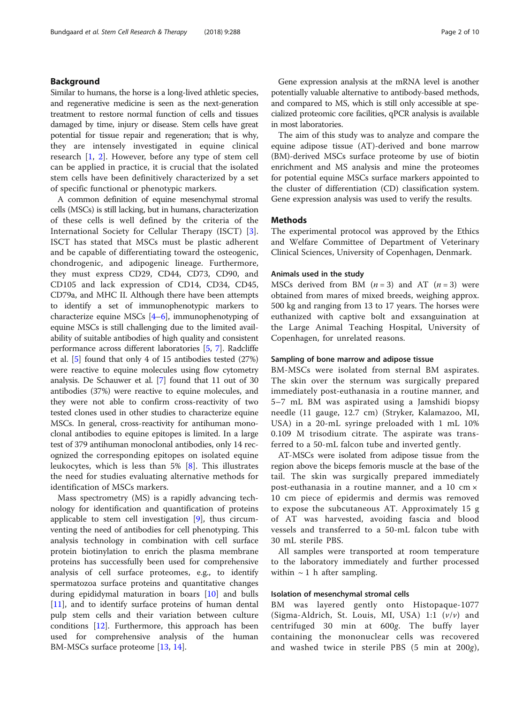# Background

Similar to humans, the horse is a long-lived athletic species, and regenerative medicine is seen as the next-generation treatment to restore normal function of cells and tissues damaged by time, injury or disease. Stem cells have great potential for tissue repair and regeneration; that is why, they are intensely investigated in equine clinical research [[1](#page-8-0), [2\]](#page-8-0). However, before any type of stem cell can be applied in practice, it is crucial that the isolated stem cells have been definitively characterized by a set of specific functional or phenotypic markers.

A common definition of equine mesenchymal stromal cells (MSCs) is still lacking, but in humans, characterization of these cells is well defined by the criteria of the International Society for Cellular Therapy (ISCT) [\[3](#page-8-0)]. ISCT has stated that MSCs must be plastic adherent and be capable of differentiating toward the osteogenic, chondrogenic, and adipogenic lineage. Furthermore, they must express CD29, CD44, CD73, CD90, and CD105 and lack expression of CD14, CD34, CD45, CD79a, and MHC II. Although there have been attempts to identify a set of immunophenotypic markers to characterize equine MSCs [\[4](#page-8-0)–[6\]](#page-8-0), immunophenotyping of equine MSCs is still challenging due to the limited availability of suitable antibodies of high quality and consistent performance across different laboratories [\[5](#page-8-0), [7\]](#page-8-0). Radcliffe et al. [\[5](#page-8-0)] found that only 4 of 15 antibodies tested (27%) were reactive to equine molecules using flow cytometry analysis. De Schauwer et al. [[7\]](#page-8-0) found that 11 out of 30 antibodies (37%) were reactive to equine molecules, and they were not able to confirm cross-reactivity of two tested clones used in other studies to characterize equine MSCs. In general, cross-reactivity for antihuman monoclonal antibodies to equine epitopes is limited. In a large test of 379 antihuman monoclonal antibodies, only 14 recognized the corresponding epitopes on isolated equine leukocytes, which is less than 5% [[8\]](#page-8-0). This illustrates the need for studies evaluating alternative methods for identification of MSCs markers.

Mass spectrometry (MS) is a rapidly advancing technology for identification and quantification of proteins applicable to stem cell investigation [\[9](#page-8-0)], thus circumventing the need of antibodies for cell phenotyping. This analysis technology in combination with cell surface protein biotinylation to enrich the plasma membrane proteins has successfully been used for comprehensive analysis of cell surface proteomes, e.g., to identify spermatozoa surface proteins and quantitative changes during epididymal maturation in boars [[10\]](#page-8-0) and bulls [[11\]](#page-8-0), and to identify surface proteins of human dental pulp stem cells and their variation between culture conditions [\[12\]](#page-8-0). Furthermore, this approach has been used for comprehensive analysis of the human BM-MSCs surface proteome [[13,](#page-8-0) [14](#page-8-0)].

Gene expression analysis at the mRNA level is another potentially valuable alternative to antibody-based methods, and compared to MS, which is still only accessible at specialized proteomic core facilities, qPCR analysis is available in most laboratories.

The aim of this study was to analyze and compare the equine adipose tissue (AT)-derived and bone marrow (BM)-derived MSCs surface proteome by use of biotin enrichment and MS analysis and mine the proteomes for potential equine MSCs surface markers appointed to the cluster of differentiation (CD) classification system. Gene expression analysis was used to verify the results.

### Methods

The experimental protocol was approved by the Ethics and Welfare Committee of Department of Veterinary Clinical Sciences, University of Copenhagen, Denmark.

### Animals used in the study

MSCs derived from BM  $(n = 3)$  and AT  $(n = 3)$  were obtained from mares of mixed breeds, weighing approx. 500 kg and ranging from 13 to 17 years. The horses were euthanized with captive bolt and exsanguination at the Large Animal Teaching Hospital, University of Copenhagen, for unrelated reasons.

### Sampling of bone marrow and adipose tissue

BM-MSCs were isolated from sternal BM aspirates. The skin over the sternum was surgically prepared immediately post-euthanasia in a routine manner, and 5–7 mL BM was aspirated using a Jamshidi biopsy needle (11 gauge, 12.7 cm) (Stryker, Kalamazoo, MI, USA) in a 20-mL syringe preloaded with 1 mL 10% 0.109 M trisodium citrate. The aspirate was transferred to a 50-mL falcon tube and inverted gently.

AT-MSCs were isolated from adipose tissue from the region above the biceps femoris muscle at the base of the tail. The skin was surgically prepared immediately post-euthanasia in a routine manner, and a 10 cm × 10 cm piece of epidermis and dermis was removed to expose the subcutaneous AT. Approximately 15 g of AT was harvested, avoiding fascia and blood vessels and transferred to a 50-mL falcon tube with 30 mL sterile PBS.

All samples were transported at room temperature to the laboratory immediately and further processed within  $\sim$  1 h after sampling.

### Isolation of mesenchymal stromal cells

BM was layered gently onto Histopaque-1077 (Sigma-Aldrich, St. Louis, MI, USA) 1:1  $(v/v)$  and centrifuged 30 min at 600g. The buffy layer containing the mononuclear cells was recovered and washed twice in sterile PBS (5 min at 200g),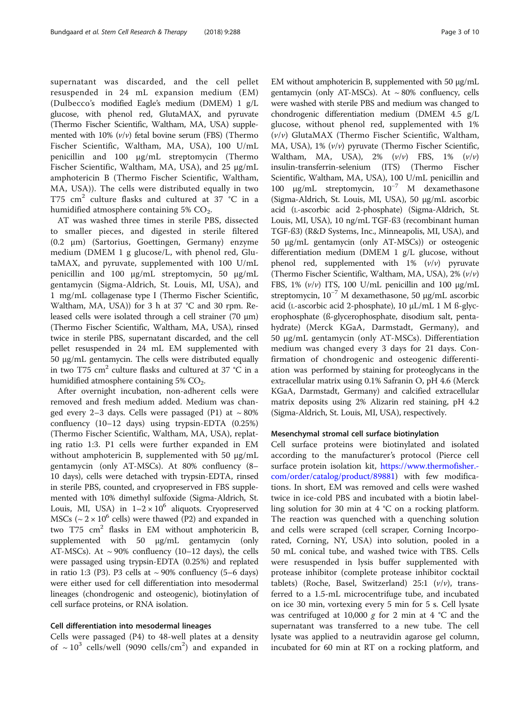supernatant was discarded, and the cell pellet resuspended in 24 mL expansion medium (EM) (Dulbecco's modified Eagle's medium (DMEM) 1 g/L glucose, with phenol red, GlutaMAX, and pyruvate (Thermo Fischer Scientific, Waltham, MA, USA) supplemented with 10%  $(v/v)$  fetal bovine serum (FBS) (Thermo Fischer Scientific, Waltham, MA, USA), 100 U/mL penicillin and 100 μg/mL streptomycin (Thermo Fischer Scientific, Waltham, MA, USA), and 25 μg/mL amphotericin B (Thermo Fischer Scientific, Waltham, MA, USA)). The cells were distributed equally in two T75  $\text{cm}^2$  culture flasks and cultured at 37 °C in a humidified atmosphere containing 5%  $CO<sub>2</sub>$ .

AT was washed three times in sterile PBS, dissected to smaller pieces, and digested in sterile filtered (0.2 μm) (Sartorius, Goettingen, Germany) enzyme medium (DMEM 1 g glucose/L, with phenol red, GlutaMAX, and pyruvate, supplemented with 100 U/mL penicillin and 100 μg/mL streptomycin, 50 μg/mL gentamycin (Sigma-Aldrich, St. Louis, MI, USA), and 1 mg/mL collagenase type I (Thermo Fischer Scientific, Waltham, MA, USA)) for 3 h at 37 °C and 30 rpm. Released cells were isolated through a cell strainer (70 μm) (Thermo Fischer Scientific, Waltham, MA, USA), rinsed twice in sterile PBS, supernatant discarded, and the cell pellet resuspended in 24 mL EM supplemented with 50 μg/mL gentamycin. The cells were distributed equally in two T75 cm<sup>2</sup> culture flasks and cultured at 37  $\degree$ C in a humidified atmosphere containing  $5\%$  CO<sub>2</sub>.

After overnight incubation, non-adherent cells were removed and fresh medium added. Medium was changed every 2–3 days. Cells were passaged (P1) at  $\sim 80\%$ confluency (10–12 days) using trypsin-EDTA (0.25%) (Thermo Fischer Scientific, Waltham, MA, USA), replating ratio 1:3. P1 cells were further expanded in EM without amphotericin B, supplemented with 50 μg/mL gentamycin (only AT-MSCs). At 80% confluency (8– 10 days), cells were detached with trypsin-EDTA, rinsed in sterile PBS, counted, and cryopreserved in FBS supplemented with 10% dimethyl sulfoxide (Sigma-Aldrich, St. Louis, MI, USA) in  $1-2 \times 10^6$  aliquots. Cryopreserved MSCs ( $\sim$  2  $\times$  10<sup>6</sup> cells) were thawed (P2) and expanded in two  $T75 \text{ cm}^2$  flasks in EM without amphotericin B, supplemented with 50 μg/mL gentamycin (only AT-MSCs). At  $\sim$  90% confluency (10–12 days), the cells were passaged using trypsin-EDTA (0.25%) and replated in ratio 1:3 (P3). P3 cells at  $\sim$  90% confluency (5–6 days) were either used for cell differentiation into mesodermal lineages (chondrogenic and osteogenic), biotinylation of cell surface proteins, or RNA isolation.

# Cell differentiation into mesodermal lineages

Cells were passaged (P4) to 48-well plates at a density of  $\sim 10^3$  cells/well (9090 cells/cm<sup>2</sup>) and expanded in

EM without amphotericin B, supplemented with 50 μg/mL gentamycin (only AT-MSCs). At  $\sim 80\%$  confluency, cells were washed with sterile PBS and medium was changed to chondrogenic differentiation medium (DMEM 4.5 g/L glucose, without phenol red, supplemented with 1%  $(v/v)$  GlutaMAX (Thermo Fischer Scientific, Waltham, MA, USA), 1% (v/v) pyruvate (Thermo Fischer Scientific, Waltham, MA, USA),  $2\%$   $(\nu/\nu)$  FBS,  $1\%$   $(\nu/\nu)$ insulin-transferrin-selenium (ITS) (Thermo Fischer Scientific, Waltham, MA, USA), 100 U/mL penicillin and 100 μg/mL streptomycin, 10−<sup>7</sup> M dexamethasone (Sigma-Aldrich, St. Louis, MI, USA), 50 μg/mL ascorbic acid (L-ascorbic acid 2-phosphate) (Sigma-Aldrich, St. Louis, MI, USA), 10 ng/mL TGF-ß3 (recombinant human TGF-ß3) (R&D Systems, Inc., Minneapolis, MI, USA), and 50 μg/mL gentamycin (only AT-MSCs)) or osteogenic differentiation medium (DMEM 1 g/L glucose, without phenol red, supplemented with  $1\%$   $(\nu/\nu)$  pyruvate (Thermo Fischer Scientific, Waltham, MA, USA),  $2\%$  ( $\nu/\nu$ ) FBS,  $1\%$  ( $v/v$ ) ITS,  $100$  U/mL penicillin and  $100 \mu g/mL$ streptomycin,  $10^{-7}$  M dexamethasone, 50 μg/mL ascorbic acid (L-ascorbic acid 2-phosphate), 10 μL/mL 1 M ß-glycerophosphate (ß-glycerophosphate, disodium salt, pentahydrate) (Merck KGaA, Darmstadt, Germany), and 50 μg/mL gentamycin (only AT-MSCs). Differentiation medium was changed every 3 days for 21 days. Confirmation of chondrogenic and osteogenic differentiation was performed by staining for proteoglycans in the extracellular matrix using 0.1% Safranin O, pH 4.6 (Merck KGaA, Darmstadt, Germany) and calcified extracellular matrix deposits using 2% Alizarin red staining, pH 4.2 (Sigma-Aldrich, St. Louis, MI, USA), respectively.

### Mesenchymal stromal cell surface biotinylation

Cell surface proteins were biotinylated and isolated according to the manufacturer's protocol (Pierce cell surface protein isolation kit, [https://www.thermofisher.](https://www.thermofisher.com/order/catalog/product/89881) [com/order/catalog/product/89881](https://www.thermofisher.com/order/catalog/product/89881)) with few modifications. In short, EM was removed and cells were washed twice in ice-cold PBS and incubated with a biotin labelling solution for 30 min at 4 °C on a rocking platform. The reaction was quenched with a quenching solution and cells were scraped (cell scraper, Corning Incorporated, Corning, NY, USA) into solution, pooled in a 50 mL conical tube, and washed twice with TBS. Cells were resuspended in lysis buffer supplemented with protease inhibitor (complete protease inhibitor cocktail tablets) (Roche, Basel, Switzerland) 25:1  $(v/v)$ , transferred to a 1.5-mL microcentrifuge tube, and incubated on ice 30 min, vortexing every 5 min for 5 s. Cell lysate was centrifuged at 10,000 g for 2 min at 4  $\degree$ C and the supernatant was transferred to a new tube. The cell lysate was applied to a neutravidin agarose gel column, incubated for 60 min at RT on a rocking platform, and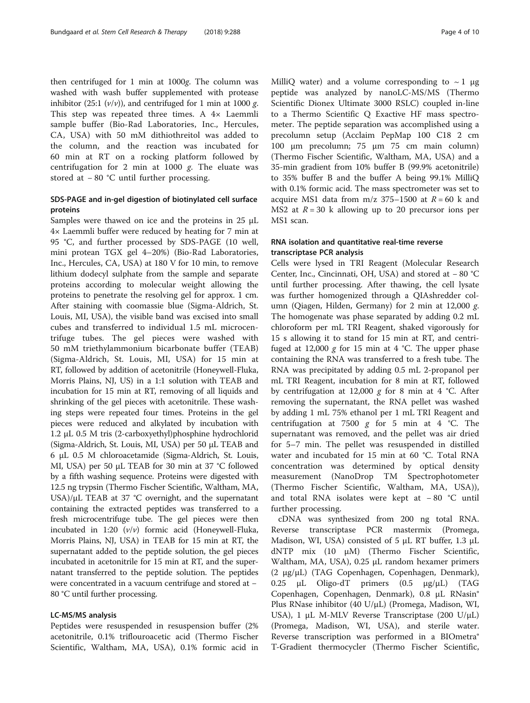then centrifuged for 1 min at 1000g. The column was washed with wash buffer supplemented with protease inhibitor (25:1  $(v/v)$ ), and centrifuged for 1 min at 1000 g. This step was repeated three times. A 4× Laemmli sample buffer (Bio-Rad Laboratories, Inc., Hercules, CA, USA) with 50 mM dithiothreitol was added to the column, and the reaction was incubated for 60 min at RT on a rocking platform followed by centrifugation for 2 min at 1000  $g$ . The eluate was stored at − 80 °C until further processing.

# SDS-PAGE and in-gel digestion of biotinylated cell surface proteins

Samples were thawed on ice and the proteins in 25 μL 4× Laemmli buffer were reduced by heating for 7 min at 95 °C, and further processed by SDS-PAGE (10 well, mini protean TGX gel 4–20%) (Bio-Rad Laboratories, Inc., Hercules, CA, USA) at 180 V for 10 min, to remove lithium dodecyl sulphate from the sample and separate proteins according to molecular weight allowing the proteins to penetrate the resolving gel for approx. 1 cm. After staining with coomassie blue (Sigma-Aldrich, St. Louis, MI, USA), the visible band was excised into small cubes and transferred to individual 1.5 mL microcentrifuge tubes. The gel pieces were washed with 50 mM triethylammonium bicarbonate buffer (TEAB) (Sigma-Aldrich, St. Louis, MI, USA) for 15 min at RT, followed by addition of acetonitrile (Honeywell-Fluka, Morris Plains, NJ, US) in a 1:1 solution with TEAB and incubation for 15 min at RT, removing of all liquids and shrinking of the gel pieces with acetonitrile. These washing steps were repeated four times. Proteins in the gel pieces were reduced and alkylated by incubation with 1.2 μL 0.5 M tris (2-carboxyethyl)phosphine hydrochlorid (Sigma-Aldrich, St. Louis, MI, USA) per 50 μL TEAB and 6 μL 0.5 M chloroacetamide (Sigma-Aldrich, St. Louis, MI, USA) per 50 μL TEAB for 30 min at 37 °C followed by a fifth washing sequence. Proteins were digested with 12.5 ng trypsin (Thermo Fischer Scientific, Waltham, MA, USA)/μL TEAB at 37 °C overnight, and the supernatant containing the extracted peptides was transferred to a fresh microcentrifuge tube. The gel pieces were then incubated in 1:20  $(v/v)$  formic acid (Honeywell-Fluka, Morris Plains, NJ, USA) in TEAB for 15 min at RT, the supernatant added to the peptide solution, the gel pieces incubated in acetonitrile for 15 min at RT, and the supernatant transferred to the peptide solution. The peptides were concentrated in a vacuum centrifuge and stored at − 80 °C until further processing.

### LC-MS/MS analysis

Peptides were resuspended in resuspension buffer (2% acetonitrile, 0.1% triflouroacetic acid (Thermo Fischer Scientific, Waltham, MA, USA), 0.1% formic acid in MilliQ water) and a volume corresponding to  $\sim$  1  $\mu$ g peptide was analyzed by nanoLC-MS/MS (Thermo Scientific Dionex Ultimate 3000 RSLC) coupled in-line to a Thermo Scientific Q Exactive HF mass spectrometer. The peptide separation was accomplished using a precolumn setup (Acclaim PepMap 100 C18 2 cm 100 μm precolumn; 75 μm 75 cm main column) (Thermo Fischer Scientific, Waltham, MA, USA) and a 35-min gradient from 10% buffer B (99.9% acetonitrile) to 35% buffer B and the buffer A being 99.1% MilliQ with 0.1% formic acid. The mass spectrometer was set to acquire MS1 data from  $m/z$  375–1500 at  $R = 60$  k and MS2 at  $R = 30$  k allowing up to 20 precursor ions per MS1 scan.

# RNA isolation and quantitative real-time reverse transcriptase PCR analysis

Cells were lysed in TRI Reagent (Molecular Research Center, Inc., Cincinnati, OH, USA) and stored at − 80 °C until further processing. After thawing, the cell lysate was further homogenized through a QIAshredder column (Qiagen, Hilden, Germany) for 2 min at 12,000  $g$ . The homogenate was phase separated by adding 0.2 mL chloroform per mL TRI Reagent, shaked vigorously for 15 s allowing it to stand for 15 min at RT, and centrifuged at 12,000 g for 15 min at 4 °C. The upper phase containing the RNA was transferred to a fresh tube. The RNA was precipitated by adding 0.5 mL 2-propanol per mL TRI Reagent, incubation for 8 min at RT, followed by centrifugation at 12,000 g for 8 min at 4 °C. After removing the supernatant, the RNA pellet was washed by adding 1 mL 75% ethanol per 1 mL TRI Reagent and centrifugation at 7500 g for 5 min at 4  $°C$ . The supernatant was removed, and the pellet was air dried for 5–7 min. The pellet was resuspended in distilled water and incubated for 15 min at 60 °C. Total RNA concentration was determined by optical density measurement (NanoDrop TM Spectrophotometer (Thermo Fischer Scientific, Waltham, MA, USA)), and total RNA isolates were kept at − 80 °C until further processing.

cDNA was synthesized from 200 ng total RNA. Reverse transcriptase PCR mastermix (Promega, Madison, WI, USA) consisted of 5 μL RT buffer, 1.3 μL dNTP mix (10 μM) (Thermo Fischer Scientific, Waltham, MA, USA), 0.25 μL random hexamer primers (2 μg/μL) (TAG Copenhagen, Copenhagen, Denmark), 0.25 μL Oligo-dT primers (0.5 μg/μL) (TAG Copenhagen, Copenhagen, Denmark), 0.8 μL RNasin® Plus RNase inhibitor (40 U/μL) (Promega, Madison, WI, USA), 1 μL M-MLV Reverse Transcriptase (200 U/μL) (Promega, Madison, WI, USA), and sterile water. Reverse transcription was performed in a BIOmetra® T-Gradient thermocycler (Thermo Fischer Scientific,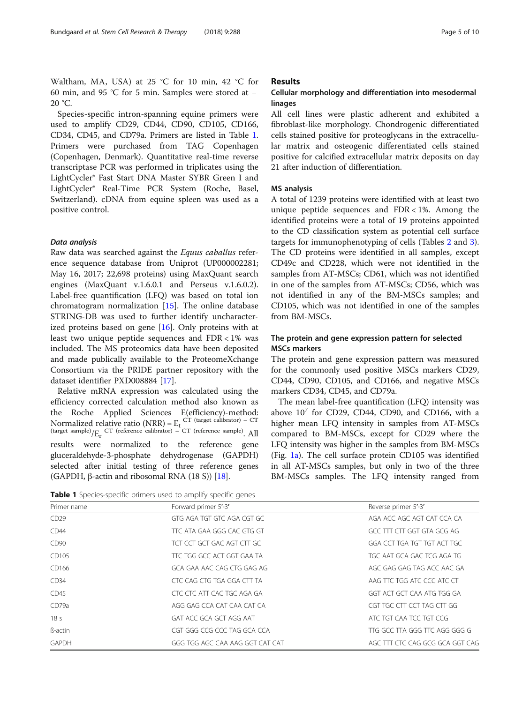Waltham, MA, USA) at 25 °C for 10 min, 42 °C for 60 min, and 95 °C for 5 min. Samples were stored at − 20 °C.

Species-specific intron-spanning equine primers were used to amplify CD29, CD44, CD90, CD105, CD166, CD34, CD45, and CD79a. Primers are listed in Table 1. Primers were purchased from TAG Copenhagen (Copenhagen, Denmark). Quantitative real-time reverse transcriptase PCR was performed in triplicates using the LightCycler® Fast Start DNA Master SYBR Green I and LightCycler® Real-Time PCR System (Roche, Basel, Switzerland). cDNA from equine spleen was used as a positive control.

### Data analysis

Raw data was searched against the Equus caballus reference sequence database from Uniprot (UP000002281; May 16, 2017; 22,698 proteins) using MaxQuant search engines (MaxQuant v.1.6.0.1 and Perseus v.1.6.0.2). Label-free quantification (LFQ) was based on total ion chromatogram normalization [[15\]](#page-8-0). The online database STRING-DB was used to further identify uncharacterized proteins based on gene  $[16]$  $[16]$ . Only proteins with at least two unique peptide sequences and FDR < 1% was included. The MS proteomics data have been deposited and made publically available to the ProteomeXchange Consortium via the PRIDE partner repository with the dataset identifier PXD008884 [[17\]](#page-9-0).

Relative mRNA expression was calculated using the efficiency corrected calculation method also known as the Roche Applied Sciences E(efficiency)-method: Normalized relative ratio (NRR) =  $E_t$ <sup>CT (target calibrator)</sup> – CT (target sample)/Er CT (reference calibrator) – CT (reference sample). All results were normalized to the reference gene gluceraldehyde-3-phosphate dehydrogenase (GAPDH) selected after initial testing of three reference genes (GAPDH, β-actin and ribosomal RNA  $(18 S)$ ) [[18\]](#page-9-0).

### Results

# Cellular morphology and differentiation into mesodermal linages

All cell lines were plastic adherent and exhibited a fibroblast-like morphology. Chondrogenic differentiated cells stained positive for proteoglycans in the extracellular matrix and osteogenic differentiated cells stained positive for calcified extracellular matrix deposits on day 21 after induction of differentiation.

### MS analysis

A total of 1239 proteins were identified with at least two unique peptide sequences and  $FDR < 1\%$ . Among the identified proteins were a total of 19 proteins appointed to the CD classification system as potential cell surface targets for immunophenotyping of cells (Tables [2](#page-5-0) and [3](#page-6-0)). The CD proteins were identified in all samples, except CD49c and CD228, which were not identified in the samples from AT-MSCs; CD61, which was not identified in one of the samples from AT-MSCs; CD56, which was not identified in any of the BM-MSCs samples; and CD105, which was not identified in one of the samples from BM-MSCs.

# The protein and gene expression pattern for selected MSCs markers

The protein and gene expression pattern was measured for the commonly used positive MSCs markers CD29, CD44, CD90, CD105, and CD166, and negative MSCs markers CD34, CD45, and CD79a.

The mean label-free quantification (LFQ) intensity was above  $10^7$  for CD29, CD44, CD90, and CD166, with a higher mean LFQ intensity in samples from AT-MSCs compared to BM-MSCs, except for CD29 where the LFQ intensity was higher in the samples from BM-MSCs (Fig. [1a\)](#page-7-0). The cell surface protein CD105 was identified in all AT-MSCs samples, but only in two of the three BM-MSCs samples. The LFQ intensity ranged from

Table 1 Species-specific primers used to amplify specific genes

| Primer name      | Forward primer 5'-3'            | Reverse primer 5'-3'            |
|------------------|---------------------------------|---------------------------------|
| CD29             | GTG AGA TGT GTC AGA CGT GC      | AGA ACC AGC AGT CAT CCA CA      |
| CD44             | TTC ATA GAA GGG CAC GTG GT      | GCC TTT CTT GGT GTA GCG AG      |
| CD <sub>90</sub> | TCT CCT GCT GAC AGT CTT GC      | GGA CCT TGA TGT TGT ACT TGC     |
| CD105            | TTC TGG GCC ACT GGT GAA TA      | TGC AAT GCA GAC TCG AGA TG      |
| CD166            | GCA GAA AAC CAG CTG GAG AG      | AGC GAG GAG TAG ACC AAC GA      |
| CD34             | CTC CAG CTG TGA GGA CTT TA      | AAG TTC TGG ATC CCC ATC CT      |
| CD45             | CTC CTC ATT CAC TGC AGA GA      | GGT ACT GCT CAA ATG TGG GA      |
| CD79a            | AGG GAG CCA CAT CAA CAT CA      | CGT TGC CTT CCT TAG CTT GG      |
| 18 <sub>s</sub>  | GAT ACC GCA GCT AGG AAT         | ATC TGT CAA TCC TGT CCG         |
| ß-actin          | CGT GGG CCG CCC TAG GCA CCA     | TTG GCC TTA GGG TTC AGG GGG G   |
| <b>GAPDH</b>     | GGG TGG AGC CAA AAG GGT CAT CAT | AGC TTT CTC CAG GCG GCA GGT CAG |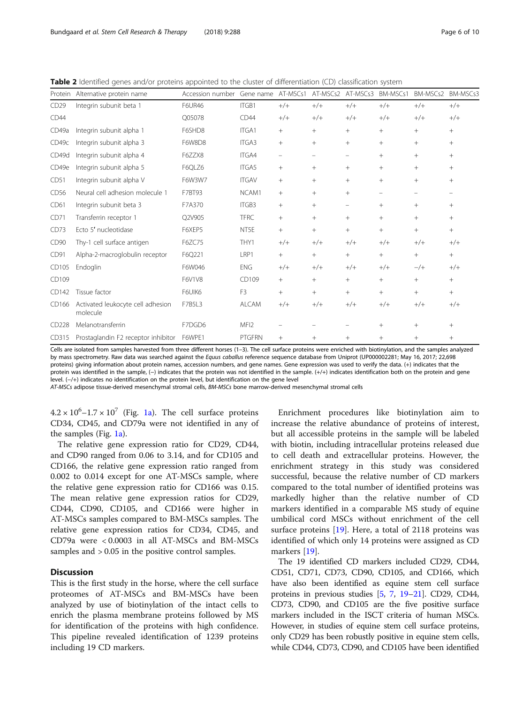<span id="page-5-0"></span>Table 2 Identified genes and/or proteins appointed to the cluster of differentiation (CD) classification system

| Protein          | Alternative protein name                      | Accession number | Gene name        | AT-MSCs1          | AT-MSCs2                 | AT-MSCs3                 | BM-MSCs1 | BM-MSCs2 | BM-MSCs3 |
|------------------|-----------------------------------------------|------------------|------------------|-------------------|--------------------------|--------------------------|----------|----------|----------|
| CD29             | Integrin subunit beta 1                       | <b>F6UR46</b>    | ITGB1            | $+/+$             | $+/+$                    | $+/+$                    | $+/+$    | $+/+$    | $+/+$    |
| CD44             |                                               | Q05078           | CD44             | $+/+$             | $+/+$                    | $+/+$                    | $+/+$    | $+/+$    | $+/+$    |
| CD49a            | Integrin subunit alpha 1                      | F6SHD8           | ITGA1            | $^{+}$            | $+$                      | $+$                      | $+$      | $+$      | $+$      |
| CD49c            | Integrin subunit alpha 3                      | F6W8D8           | <b>ITGA3</b>     | $^{+}$            | $^{+}$                   | $+$                      | $^{+}$   | $^{+}$   | $+$      |
| CD49d            | Integrin subunit alpha 4                      | F6ZZX8           | <b>ITGA4</b>     | $\qquad \qquad -$ | $\overline{\phantom{0}}$ | $\overline{\phantom{m}}$ | $^{+}$   | $+$      | $+$      |
| CD49e            | Integrin subunit alpha 5                      | F6QLZ6           | <b>ITGA5</b>     | $+$               | $+$                      | $+$                      | $^{+}$   | $+$      | $+$      |
| CD51             | Integrin subunit alpha V                      | F6W3W7           | <b>ITGAV</b>     | $^{+}$            | $+$                      | $+$                      | $^{+}$   | $+$      | $+$      |
| CD56             | Neural cell adhesion molecule 1               | F7BT93           | NCAM1            | $^{+}$            | $^{+}$                   | $+$                      |          |          |          |
| CD61             | Integrin subunit beta 3                       | F7A370           | ITGB3            | $^{+}$            | $+$                      | $\overline{\phantom{0}}$ | $^{+}$   | $+$      | $+$      |
| CD71             | Transferrin receptor 1                        | Q2V905           | <b>TFRC</b>      | $^{+}$            | $^{+}$                   | $+$                      | $+$      | $+$      | $^{+}$   |
| CD73             | Ecto 5' nucleotidase                          | F6XEP5           | NT5E             | $^{+}$            | $^{+}$                   | $+$                      | $^{+}$   | $^{+}$   | $+$      |
| CD <sub>90</sub> | Thy-1 cell surface antigen                    | F6ZC75           | THY1             | $+/+$             | $+/+$                    | $+/+$                    | $+/+$    | $+/+$    | $+/+$    |
| CD91             | Alpha-2-macroglobulin receptor                | F6Q221           | LRP1             | $^{+}$            | $+$                      | $+$                      | $+$      | $+$      | $+$      |
| CD105            | Endoglin                                      | F6W046           | <b>ENG</b>       | $+/+$             | $+/+$                    | $+/+$                    | $+/+$    | $-$ /+   | $+/+$    |
| CD109            |                                               | F6V1V8           | CD109            | $^{+}$            | $^{+}$                   | $+$                      | $+$      | $+$      | $+$      |
| CD142            | Tissue factor                                 | F6UIK6           | F3               | $^{+}$            | $^{+}$                   | $+$                      | $^{+}$   | $+$      | $+$      |
| CD166            | Activated leukocyte cell adhesion<br>molecule | F7B5L3           | <b>ALCAM</b>     | $+/+$             | $+/+$                    | $+/+$                    | $+/+$    | $+/+$    | $+/+$    |
| CD228            | Melanotransferrin                             | F7DGD6           | MFI <sub>2</sub> |                   |                          |                          | $^{+}$   | $^{+}$   | $^{+}$   |
| CD315            | Prostaglandin F2 receptor inhibitor           | F6WPE1           | <b>PTGFRN</b>    | $+$               | $+$                      | $+$                      | $^{+}$   | $+$      | $+$      |

Cells are isolated from samples harvested from three different horses (1–3). The cell surface proteins were enriched with biotinylation, and the samples analyzed by mass spectrometry. Raw data was searched against the Equus caballus reference sequence database from Uniprot (UP000002281; May 16, 2017; 22,698 proteins) giving information about protein names, accession numbers, and gene names. Gene expression was used to verify the data. (+) indicates that the protein was identified in the sample, (-) indicates that the protein was not identified in the sample. (+/+) indicates identification both on the protein and gene level. (−/+) indicates no identification on the protein level, but identification on the gene level

AT-MSCs adipose tissue-derived mesenchymal stromal cells, BM-MSCs bone marrow-derived mesenchymal stromal cells

 $4.2 \times 10^6$ -1.7 ×  $10^7$  (Fig. [1a\)](#page-7-0). The cell surface proteins CD34, CD45, and CD79a were not identified in any of the samples (Fig. [1a\)](#page-7-0).

The relative gene expression ratio for CD29, CD44, and CD90 ranged from 0.06 to 3.14, and for CD105 and CD166, the relative gene expression ratio ranged from 0.002 to 0.014 except for one AT-MSCs sample, where the relative gene expression ratio for CD166 was 0.15. The mean relative gene expression ratios for CD29, CD44, CD90, CD105, and CD166 were higher in AT-MSCs samples compared to BM-MSCs samples. The relative gene expression ratios for CD34, CD45, and CD79a were < 0.0003 in all AT-MSCs and BM-MSCs samples and  $> 0.05$  in the positive control samples.

# **Discussion**

This is the first study in the horse, where the cell surface proteomes of AT-MSCs and BM-MSCs have been analyzed by use of biotinylation of the intact cells to enrich the plasma membrane proteins followed by MS for identification of the proteins with high confidence. This pipeline revealed identification of 1239 proteins including 19 CD markers.

Enrichment procedures like biotinylation aim to increase the relative abundance of proteins of interest, but all accessible proteins in the sample will be labeled with biotin, including intracellular proteins released due to cell death and extracellular proteins. However, the enrichment strategy in this study was considered successful, because the relative number of CD markers compared to the total number of identified proteins was markedly higher than the relative number of CD markers identified in a comparable MS study of equine umbilical cord MSCs without enrichment of the cell surface proteins [\[19](#page-9-0)]. Here, a total of 2118 proteins was identified of which only 14 proteins were assigned as CD markers [[19\]](#page-9-0).

The 19 identified CD markers included CD29, CD44, CD51, CD71, CD73, CD90, CD105, and CD166, which have also been identified as equine stem cell surface proteins in previous studies [[5](#page-8-0), [7,](#page-8-0) [19](#page-9-0)–[21](#page-9-0)]. CD29, CD44, CD73, CD90, and CD105 are the five positive surface markers included in the ISCT criteria of human MSCs. However, in studies of equine stem cell surface proteins, only CD29 has been robustly positive in equine stem cells, while CD44, CD73, CD90, and CD105 have been identified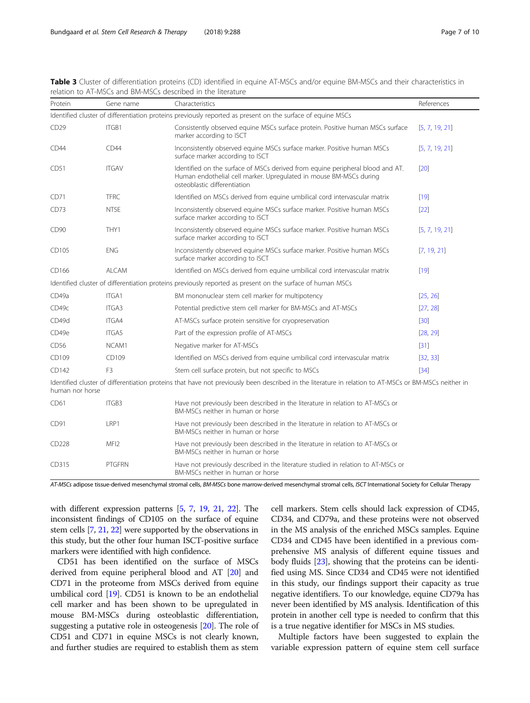| Protein                                                                                                                                                                  | Gene name        | Characteristics                                                                                                                                                                      | References     |  |  |  |  |  |
|--------------------------------------------------------------------------------------------------------------------------------------------------------------------------|------------------|--------------------------------------------------------------------------------------------------------------------------------------------------------------------------------------|----------------|--|--|--|--|--|
| Identified cluster of differentiation proteins previously reported as present on the surface of equine MSCs                                                              |                  |                                                                                                                                                                                      |                |  |  |  |  |  |
| CD29                                                                                                                                                                     | ITGB1            | Consistently observed equine MSCs surface protein. Positive human MSCs surface<br>marker according to ISCT                                                                           | [5, 7, 19, 21] |  |  |  |  |  |
| CD44                                                                                                                                                                     | CD44             | Inconsistently observed equine MSCs surface marker. Positive human MSCs<br>surface marker according to ISCT                                                                          | [5, 7, 19, 21] |  |  |  |  |  |
| CD51                                                                                                                                                                     | <b>ITGAV</b>     | Identified on the surface of MSCs derived from equine peripheral blood and AT.<br>Human endothelial cell marker. Upregulated in mouse BM-MSCs during<br>osteoblastic differentiation | [20]           |  |  |  |  |  |
| CD71                                                                                                                                                                     | <b>TFRC</b>      | Identified on MSCs derived from equine umbilical cord intervascular matrix                                                                                                           | [19]           |  |  |  |  |  |
| CD73                                                                                                                                                                     | NT5E             | Inconsistently observed equine MSCs surface marker. Positive human MSCs<br>surface marker according to ISCT                                                                          | $[22]$         |  |  |  |  |  |
| CD <sub>90</sub>                                                                                                                                                         | THY1             | Inconsistently observed equine MSCs surface marker. Positive human MSCs<br>surface marker according to ISCT                                                                          | [5, 7, 19, 21] |  |  |  |  |  |
| CD105                                                                                                                                                                    | <b>ENG</b>       | Inconsistently observed equine MSCs surface marker. Positive human MSCs<br>surface marker according to ISCT                                                                          | [7, 19, 21]    |  |  |  |  |  |
| CD166                                                                                                                                                                    | <b>ALCAM</b>     | Identified on MSCs derived from equine umbilical cord intervascular matrix                                                                                                           | $[19]$         |  |  |  |  |  |
|                                                                                                                                                                          |                  | Identified cluster of differentiation proteins previously reported as present on the surface of human MSCs                                                                           |                |  |  |  |  |  |
| CD49a                                                                                                                                                                    | ITGA1            | BM mononuclear stem cell marker for multipotency                                                                                                                                     | [25, 26]       |  |  |  |  |  |
| CD49c                                                                                                                                                                    | ITGA3            | Potential predictive stem cell marker for BM-MSCs and AT-MSCs                                                                                                                        | [27, 28]       |  |  |  |  |  |
| CD49d                                                                                                                                                                    | ITGA4            | AT-MSCs surface protein sensitive for cryopreservation                                                                                                                               | $[30]$         |  |  |  |  |  |
| CD49e                                                                                                                                                                    | ITGA5            | Part of the expression profile of AT-MSCs                                                                                                                                            | [28, 29]       |  |  |  |  |  |
| CD56                                                                                                                                                                     | NCAM1            | Negative marker for AT-MSCs                                                                                                                                                          | $[31]$         |  |  |  |  |  |
| CD109                                                                                                                                                                    | CD109            | Identified on MSCs derived from equine umbilical cord intervascular matrix                                                                                                           | [32, 33]       |  |  |  |  |  |
| CD142                                                                                                                                                                    | F <sub>3</sub>   | Stem cell surface protein, but not specific to MSCs                                                                                                                                  | $[34]$         |  |  |  |  |  |
| Identified cluster of differentiation proteins that have not previously been described in the literature in relation to AT-MSCs or BM-MSCs neither in<br>human nor horse |                  |                                                                                                                                                                                      |                |  |  |  |  |  |
| CD61                                                                                                                                                                     | ITGB3            | Have not previously been described in the literature in relation to AT-MSCs or<br>BM-MSCs neither in human or horse                                                                  |                |  |  |  |  |  |
| CD91                                                                                                                                                                     | LRP1             | Have not previously been described in the literature in relation to AT-MSCs or<br>BM-MSCs neither in human or horse                                                                  |                |  |  |  |  |  |
| CD228                                                                                                                                                                    | MFI <sub>2</sub> | Have not previously been described in the literature in relation to AT-MSCs or<br>BM-MSCs neither in human or horse                                                                  |                |  |  |  |  |  |
| CD315                                                                                                                                                                    | <b>PTGFRN</b>    | Have not previously described in the literature studied in relation to AT-MSCs or<br>BM-MSCs neither in human or horse                                                               |                |  |  |  |  |  |

<span id="page-6-0"></span>Table 3 Cluster of differentiation proteins (CD) identified in equine AT-MSCs and/or equine BM-MSCs and their characteristics in relation to AT-MSCs and BM-MSCs described in the literature

AT-MSCs adipose tissue-derived mesenchymal stromal cells, BM-MSCs bone marrow-derived mesenchymal stromal cells, ISCT International Society for Cellular Therapy

with different expression patterns [[5](#page-8-0), [7](#page-8-0), [19](#page-9-0), [21](#page-9-0), [22](#page-9-0)]. The inconsistent findings of CD105 on the surface of equine stem cells [\[7,](#page-8-0) [21,](#page-9-0) [22](#page-9-0)] were supported by the observations in this study, but the other four human ISCT-positive surface markers were identified with high confidence.

CD51 has been identified on the surface of MSCs derived from equine peripheral blood and AT [\[20\]](#page-9-0) and CD71 in the proteome from MSCs derived from equine umbilical cord [\[19\]](#page-9-0). CD51 is known to be an endothelial cell marker and has been shown to be upregulated in mouse BM-MSCs during osteoblastic differentiation, suggesting a putative role in osteogenesis [[20\]](#page-9-0). The role of CD51 and CD71 in equine MSCs is not clearly known, and further studies are required to establish them as stem cell markers. Stem cells should lack expression of CD45, CD34, and CD79a, and these proteins were not observed in the MS analysis of the enriched MSCs samples. Equine CD34 and CD45 have been identified in a previous comprehensive MS analysis of different equine tissues and body fluids [\[23\]](#page-9-0), showing that the proteins can be identified using MS. Since CD34 and CD45 were not identified in this study, our findings support their capacity as true negative identifiers. To our knowledge, equine CD79a has never been identified by MS analysis. Identification of this protein in another cell type is needed to confirm that this is a true negative identifier for MSCs in MS studies.

Multiple factors have been suggested to explain the variable expression pattern of equine stem cell surface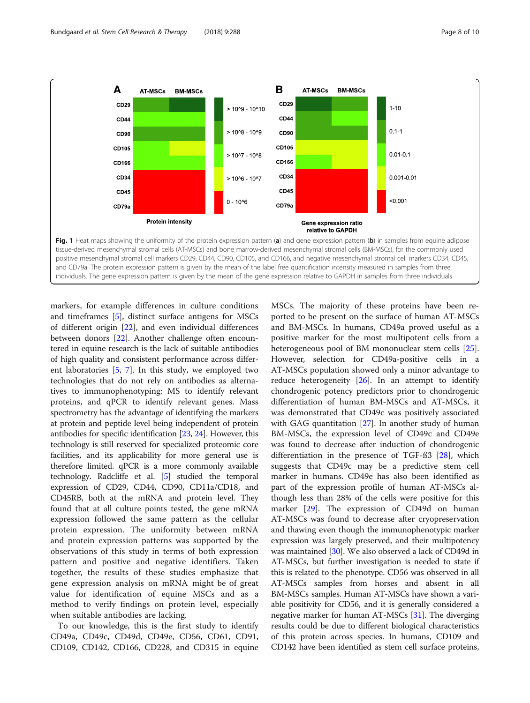<span id="page-7-0"></span>

individuals. The gene expression pattern is given by the mean of the gene expression relative to GAPDH in samples from three individuals

markers, for example differences in culture conditions and timeframes [\[5](#page-8-0)], distinct surface antigens for MSCs of different origin [[22](#page-9-0)], and even individual differences between donors [[22\]](#page-9-0). Another challenge often encountered in equine research is the lack of suitable antibodies of high quality and consistent performance across different laboratories [\[5](#page-8-0), [7\]](#page-8-0). In this study, we employed two technologies that do not rely on antibodies as alternatives to immunophenotyping: MS to identify relevant proteins, and qPCR to identify relevant genes. Mass spectrometry has the advantage of identifying the markers at protein and peptide level being independent of protein antibodies for specific identification [\[23](#page-9-0), [24](#page-9-0)]. However, this technology is still reserved for specialized proteomic core facilities, and its applicability for more general use is therefore limited. qPCR is a more commonly available technology. Radcliffe et al. [\[5\]](#page-8-0) studied the temporal expression of CD29, CD44, CD90, CD11a/CD18, and CD45RB, both at the mRNA and protein level. They found that at all culture points tested, the gene mRNA expression followed the same pattern as the cellular protein expression. The uniformity between mRNA and protein expression patterns was supported by the observations of this study in terms of both expression pattern and positive and negative identifiers. Taken together, the results of these studies emphasize that gene expression analysis on mRNA might be of great value for identification of equine MSCs and as a method to verify findings on protein level, especially when suitable antibodies are lacking.

To our knowledge, this is the first study to identify CD49a, CD49c, CD49d, CD49e, CD56, CD61, CD91, CD109, CD142, CD166, CD228, and CD315 in equine

MSCs. The majority of these proteins have been reported to be present on the surface of human AT-MSCs and BM-MSCs. In humans, CD49a proved useful as a positive marker for the most multipotent cells from a heterogeneous pool of BM mononuclear stem cells [\[25](#page-9-0)]. However, selection for CD49a-positive cells in a AT-MSCs population showed only a minor advantage to reduce heterogeneity [[26\]](#page-9-0). In an attempt to identify chondrogenic potency predictors prior to chondrogenic differentiation of human BM-MSCs and AT-MSCs, it was demonstrated that CD49c was positively associated with GAG quantitation [\[27](#page-9-0)]. In another study of human BM-MSCs, the expression level of CD49c and CD49e was found to decrease after induction of chondrogenic differentiation in the presence of TGF-ß3 [[28\]](#page-9-0), which suggests that CD49c may be a predictive stem cell marker in humans. CD49e has also been identified as part of the expression profile of human AT-MSCs although less than 28% of the cells were positive for this marker [\[29](#page-9-0)]. The expression of CD49d on human AT-MSCs was found to decrease after cryopreservation and thawing even though the immunophenotypic marker expression was largely preserved, and their multipotency was maintained [[30](#page-9-0)]. We also observed a lack of CD49d in AT-MSCs, but further investigation is needed to state if this is related to the phenotype. CD56 was observed in all AT-MSCs samples from horses and absent in all BM-MSCs samples. Human AT-MSCs have shown a variable positivity for CD56, and it is generally considered a negative marker for human AT-MSCs [[31](#page-9-0)]. The diverging results could be due to different biological characteristics of this protein across species. In humans, CD109 and CD142 have been identified as stem cell surface proteins,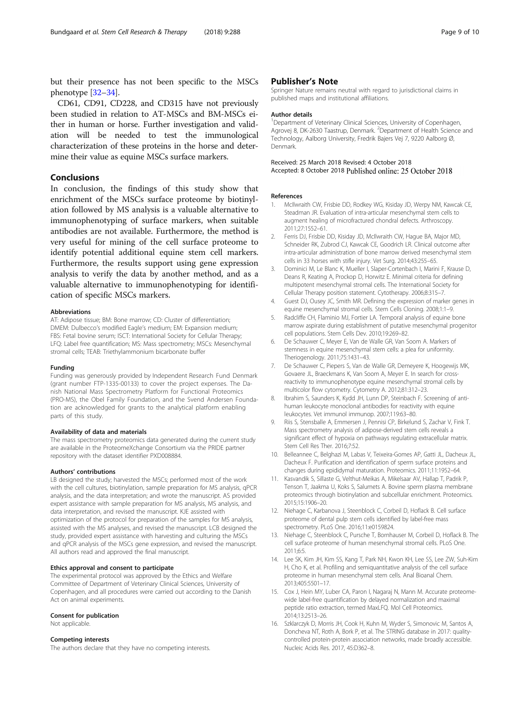<span id="page-8-0"></span>but their presence has not been specific to the MSCs phenotype [\[32](#page-9-0)–[34](#page-9-0)].

CD61, CD91, CD228, and CD315 have not previously been studied in relation to AT-MSCs and BM-MSCs either in human or horse. Further investigation and validation will be needed to test the immunological characterization of these proteins in the horse and determine their value as equine MSCs surface markers.

## Conclusions

In conclusion, the findings of this study show that enrichment of the MSCs surface proteome by biotinylation followed by MS analysis is a valuable alternative to immunophenotyping of surface markers, when suitable antibodies are not available. Furthermore, the method is very useful for mining of the cell surface proteome to identify potential additional equine stem cell markers. Furthermore, the results support using gene expression analysis to verify the data by another method, and as a valuable alternative to immunophenotyping for identification of specific MSCs markers.

### Abbreviations

AT: Adipose tissue; BM: Bone marrow; CD: Cluster of differentiation; DMEM: Dulbecco's modified Eagle's medium; EM: Expansion medium; FBS: Fetal bovine serum; ISCT: International Society for Cellular Therapy; LFQ: Label free quantification; MS: Mass spectrometry; MSCs: Mesenchymal stromal cells; TEAB: Triethylammonium bicarbonate buffer

### Funding

Funding was generously provided by Independent Research Fund Denmark (grant number FTP-1335-00133) to cover the project expenses. The Danish National Mass Spectrometry Platform for Functional Proteomics (PRO-MS), the Obel Family Foundation, and the Svend Andersen Foundation are acknowledged for grants to the analytical platform enabling parts of this study.

### Availability of data and materials

The mass spectrometry proteomics data generated during the current study are available in the ProteomeXchange Consortium via the PRIDE partner repository with the dataset identifier PXD008884.

### Authors' contributions

LB designed the study; harvested the MSCs; performed most of the work with the cell cultures, biotinylation, sample preparation for MS analysis, qPCR analysis, and the data interpretation; and wrote the manuscript. AS provided expert assistance with sample preparation for MS analysis, MS analysis, and data interpretation, and revised the manuscript. KJE assisted with optimization of the protocol for preparation of the samples for MS analysis, assisted with the MS analyses, and revised the manuscript. LCB designed the study, provided expert assistance with harvesting and culturing the MSCs and qPCR analysis of the MSCs gene expression, and revised the manuscript. All authors read and approved the final manuscript.

### Ethics approval and consent to participate

The experimental protocol was approved by the Ethics and Welfare Committee of Department of Veterinary Clinical Sciences, University of Copenhagen, and all procedures were carried out according to the Danish Act on animal experiments.

### Consent for publication

Not applicable.

### Competing interests

The authors declare that they have no competing interests.

### Publisher's Note

Springer Nature remains neutral with regard to jurisdictional claims in published maps and institutional affiliations.

### Author details

<sup>1</sup>Department of Veterinary Clinical Sciences, University of Copenhagen, Agrovej 8, DK-2630 Taastrup, Denmark. <sup>2</sup>Department of Health Science and Technology, Aalborg University, Fredrik Bajers Vej 7, 9220 Aalborg Ø, Denmark.

### Received: 25 March 2018 Revised: 4 October 2018 Accepted: 8 October 2018 Published online: 25 October 2018

#### References

- 1. McIlwraith CW, Frisbie DD, Rodkey WG, Kisiday JD, Werpy NM, Kawcak CE, Steadman JR. Evaluation of intra-articular mesenchymal stem cells to augment healing of microfractured chondral defects. Arthroscopy. 2011;27:1552–61.
- 2. Ferris DJ, Frisbie DD, Kisiday JD, McIlwraith CW, Hague BA, Major MD, Schneider RK, Zubrod CJ, Kawcak CE, Goodrich LR. Clinical outcome after intra-articular administration of bone marrow derived mesenchymal stem cells in 33 horses with stifle injury. Vet Surg. 2014;43:255–65.
- 3. Dominici M, Le Blanc K, Mueller I, Slaper-Cortenbach I, Marini F, Krause D, Deans R, Keating A, Prockop D, Horwitz E. Minimal criteria for defining multipotent mesenchymal stromal cells. The International Society for Cellular Therapy position statement. Cytotherapy. 2006;8:315–7.
- 4. Guest DJ, Ousey JC, Smith MR. Defining the expression of marker genes in equine mesenchymal stromal cells. Stem Cells Cloning. 2008;1:1–9.
- 5. Radcliffe CH, Flaminio MJ, Fortier LA. Temporal analysis of equine bone marrow aspirate during establishment of putative mesenchymal progenitor cell populations. Stem Cells Dev. 2010;19:269–82.
- 6. De Schauwer C, Meyer E, Van de Walle GR, Van Soom A. Markers of stemness in equine mesenchymal stem cells: a plea for uniformity. Theriogenology. 2011;75:1431–43.
- 7. De Schauwer C, Piepers S, Van de Walle GR, Demeyere K, Hoogewijs MK, Govaere JL, Braeckmans K, Van Soom A, Meyer E. In search for crossreactivity to immunophenotype equine mesenchymal stromal cells by multicolor flow cytometry. Cytometry A. 2012;81:312–23.
- 8. Ibrahim S, Saunders K, Kydd JH, Lunn DP, Steinbach F. Screening of antihuman leukocyte monoclonal antibodies for reactivity with equine leukocytes. Vet immunol immunop. 2007;119:63–80.
- 9. Riis S, Stensballe A, Emmersen J, Pennisi CP, Birkelund S, Zachar V, Fink T. Mass spectrometry analysis of adipose-derived stem cells reveals a significant effect of hypoxia on pathways regulating extracellular matrix. Stem Cell Res Ther. 2016;7:52.
- 10. Belleannee C, Belghazi M, Labas V, Teixeira-Gomes AP, Gatti JL, Dacheux JL, Dacheux F. Purification and identification of sperm surface proteins and changes during epididymal maturation. Proteomics. 2011;11:1952–64.
- 11. Kasvandik S, Sillaste G, Velthut-Meikas A, Mikelsaar AV, Hallap T, Padrik P, Tenson T, Jaakma U, Koks S, Salumets A. Bovine sperm plasma membrane proteomics through biotinylation and subcellular enrichment. Proteomics. 2015;15:1906–20.
- 12. Niehage C, Karbanova J, Steenblock C, Corbeil D, Hoflack B. Cell surface proteome of dental pulp stem cells identified by label-free mass spectrometry. PLoS One. 2016;11:e0159824.
- 13. Niehage C, Steenblock C, Pursche T, Bornhauser M, Corbeil D, Hoflack B. The cell surface proteome of human mesenchymal stromal cells. PLoS One. 2011;6:5.
- 14. Lee SK, Kim JH, Kim SS, Kang T, Park NH, Kwon KH, Lee SS, Lee ZW, Suh-Kim H, Cho K, et al. Profiling and semiquantitative analysis of the cell surface proteome in human mesenchymal stem cells. Anal Bioanal Chem. 2013;405:5501–17.
- 15. Cox J, Hein MY, Luber CA, Paron I, Nagaraj N, Mann M. Accurate proteomewide label-free quantification by delayed normalization and maximal peptide ratio extraction, termed MaxLFQ. Mol Cell Proteomics. 2014;13:2513–26.
- 16. Szklarczyk D, Morris JH, Cook H, Kuhn M, Wyder S, Simonovic M, Santos A, Doncheva NT, Roth A, Bork P, et al. The STRING database in 2017: qualitycontrolled protein-protein association networks, made broadly accessible. Nucleic Acids Res. 2017, 45:D362–8.